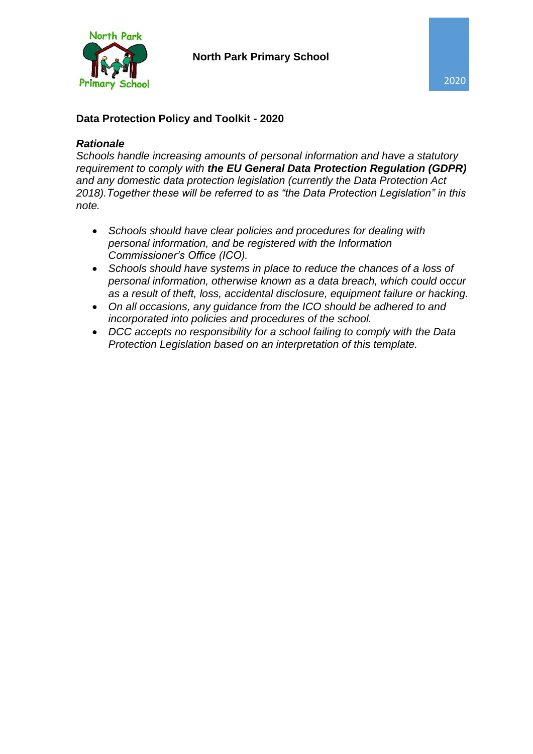

#### **Data Protection Policy and Toolkit - 2020**

#### *Rationale*

*Schools handle increasing amounts of personal information and have a statutory requirement to comply with the EU General Data Protection Regulation (GDPR) and any domestic data protection legislation (currently the Data Protection Act 2018).Together these will be referred to as "the Data Protection Legislation" in this note.* 

- *Schools should have clear policies and procedures for dealing with personal information, and be registered with the Information Commissioner's Office (ICO).*
- *Schools should have systems in place to reduce the chances of a loss of personal information, otherwise known as a data breach, which could occur as a result of theft, loss, accidental disclosure, equipment failure or hacking.*
- *On all occasions, any guidance from the ICO should be adhered to and incorporated into policies and procedures of the school.*
- *DCC accepts no responsibility for a school failing to comply with the Data Protection Legislation based on an interpretation of this template.*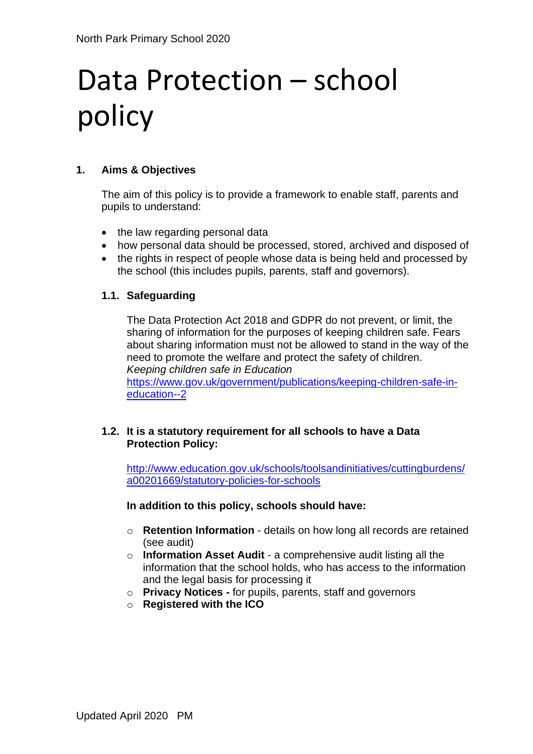# Data Protection – school policy

#### **1. Aims & Objectives**

The aim of this policy is to provide a framework to enable staff, parents and pupils to understand:

- the law regarding personal data
- how personal data should be processed, stored, archived and disposed of
- the rights in respect of people whose data is being held and processed by the school (this includes pupils, parents, staff and governors).

#### **1.1. Safeguarding**

The Data Protection Act 2018 and GDPR do not prevent, or limit, the sharing of information for the purposes of keeping children safe. Fears about sharing information must not be allowed to stand in the way of the need to promote the welfare and protect the safety of children. *Keeping children safe in Education*  [https://www.gov.uk/government/publications/keeping-children-safe-in](https://www.gov.uk/government/publications/keeping-children-safe-in-education--2)[education--2](https://www.gov.uk/government/publications/keeping-children-safe-in-education--2)

#### **1.2. It is a statutory requirement for all schools to have a Data Protection Policy:**

[http://www.education.gov.uk/schools/toolsandinitiatives/cuttingburdens/](http://www.education.gov.uk/schools/toolsandinitiatives/cuttingburdens/a00201669/statutory-policies-for-schools) [a00201669/statutory-policies-for-schools](http://www.education.gov.uk/schools/toolsandinitiatives/cuttingburdens/a00201669/statutory-policies-for-schools)

#### **In addition to this policy, schools should have:**

- o **Retention Information**  details on how long all records are retained (see audit)
- o **Information Asset Audit**  a comprehensive audit listing all the information that the school holds, who has access to the information and the legal basis for processing it
- o **Privacy Notices -** for pupils, parents, staff and governors
- o **Registered with the ICO**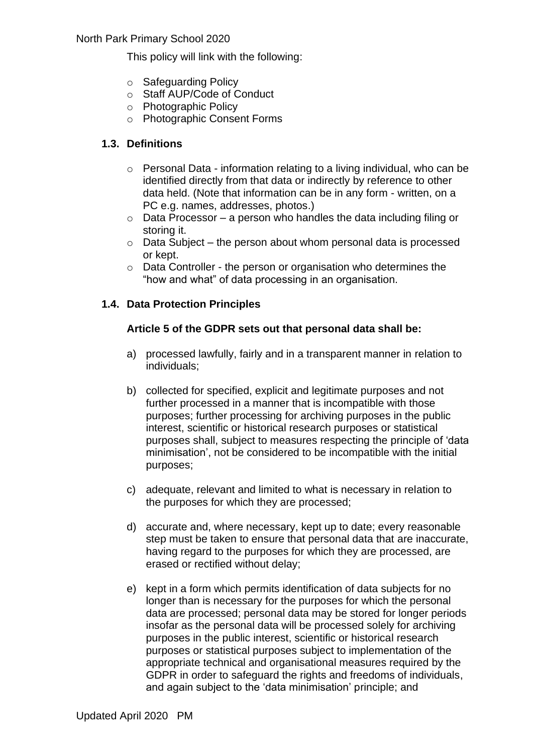This policy will link with the following:

- o Safeguarding Policy
- o Staff AUP/Code of Conduct
- o Photographic Policy
- o Photographic Consent Forms

#### **1.3. Definitions**

- o Personal Data information relating to a living individual, who can be identified directly from that data or indirectly by reference to other data held. (Note that information can be in any form - written, on a PC e.g. names, addresses, photos.)
- $\circ$  Data Processor a person who handles the data including filing or storing it.
- $\circ$  Data Subject the person about whom personal data is processed or kept.
- o Data Controller the person or organisation who determines the "how and what" of data processing in an organisation.

#### **1.4. Data Protection Principles**

#### **Article 5 of the GDPR sets out that personal data shall be:**

- a) processed lawfully, fairly and in a transparent manner in relation to individuals;
- b) collected for specified, explicit and legitimate purposes and not further processed in a manner that is incompatible with those purposes; further processing for archiving purposes in the public interest, scientific or historical research purposes or statistical purposes shall, subject to measures respecting the principle of 'data minimisation', not be considered to be incompatible with the initial purposes;
- c) adequate, relevant and limited to what is necessary in relation to the purposes for which they are processed;
- d) accurate and, where necessary, kept up to date; every reasonable step must be taken to ensure that personal data that are inaccurate, having regard to the purposes for which they are processed, are erased or rectified without delay;
- e) kept in a form which permits identification of data subjects for no longer than is necessary for the purposes for which the personal data are processed; personal data may be stored for longer periods insofar as the personal data will be processed solely for archiving purposes in the public interest, scientific or historical research purposes or statistical purposes subject to implementation of the appropriate technical and organisational measures required by the GDPR in order to safeguard the rights and freedoms of individuals, and again subject to the 'data minimisation' principle; and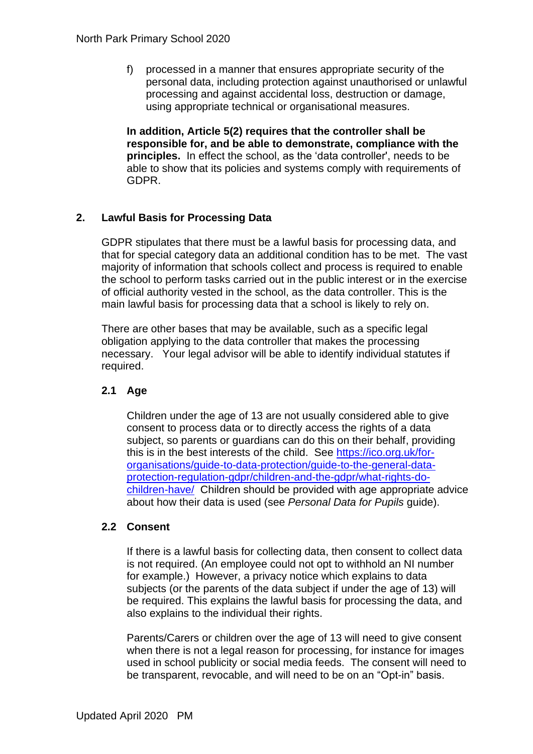f) processed in a manner that ensures appropriate security of the personal data, including protection against unauthorised or unlawful processing and against accidental loss, destruction or damage, using appropriate technical or organisational measures.

**In addition, Article 5(2) requires that the controller shall be responsible for, and be able to demonstrate, compliance with the principles.** In effect the school, as the 'data controller', needs to be able to show that its policies and systems comply with requirements of GDPR.

#### **2. Lawful Basis for Processing Data**

GDPR stipulates that there must be a lawful basis for processing data, and that for special category data an additional condition has to be met. The vast majority of information that schools collect and process is required to enable the school to perform tasks carried out in the public interest or in the exercise of official authority vested in the school, as the data controller. This is the main lawful basis for processing data that a school is likely to rely on.

There are other bases that may be available, such as a specific legal obligation applying to the data controller that makes the processing necessary.Your legal advisor will be able to identify individual statutes if required.

#### **2.1 Age**

Children under the age of 13 are not usually considered able to give consent to process data or to directly access the rights of a data subject, so parents or guardians can do this on their behalf, providing this is in the best interests of the child. See [https://ico.org.uk/for](https://ico.org.uk/for-organisations/guide-to-data-protection/guide-to-the-general-data-protection-regulation-gdpr/children-and-the-gdpr/what-rights-do-children-have/)[organisations/guide-to-data-protection/guide-to-the-general-data](https://ico.org.uk/for-organisations/guide-to-data-protection/guide-to-the-general-data-protection-regulation-gdpr/children-and-the-gdpr/what-rights-do-children-have/)[protection-regulation-gdpr/children-and-the-gdpr/what-rights-do](https://ico.org.uk/for-organisations/guide-to-data-protection/guide-to-the-general-data-protection-regulation-gdpr/children-and-the-gdpr/what-rights-do-children-have/)[children-have/](https://ico.org.uk/for-organisations/guide-to-data-protection/guide-to-the-general-data-protection-regulation-gdpr/children-and-the-gdpr/what-rights-do-children-have/) Children should be provided with age appropriate advice about how their data is used (see *Personal Data for Pupils* guide).

#### **2.2 Consent**

If there is a lawful basis for collecting data, then consent to collect data is not required. (An employee could not opt to withhold an NI number for example.) However, a privacy notice which explains to data subjects (or the parents of the data subject if under the age of 13) will be required. This explains the lawful basis for processing the data, and also explains to the individual their rights.

Parents/Carers or children over the age of 13 will need to give consent when there is not a legal reason for processing, for instance for images used in school publicity or social media feeds. The consent will need to be transparent, revocable, and will need to be on an "Opt-in" basis.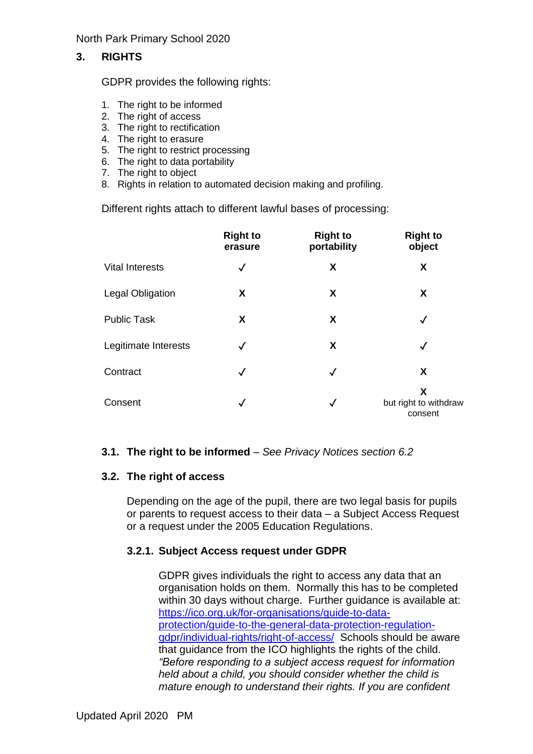#### **3. RIGHTS**

GDPR provides the following rights:

- 1. The right to be informed
- 2. The right of access
- 3. The right to rectification
- 4. The right to erasure
- 5. The right to restrict processing
- 6. The right to data portability
- 7. The right to object
- 8. Rights in relation to automated decision making and profiling.

Different rights attach to different lawful bases of processing:

|                         | <b>Right to</b><br>erasure | <b>Right to</b><br>portability | <b>Right to</b><br>object             |
|-------------------------|----------------------------|--------------------------------|---------------------------------------|
| <b>Vital Interests</b>  | $\checkmark$               | X                              | X                                     |
| <b>Legal Obligation</b> | X                          | X                              | X                                     |
| <b>Public Task</b>      | X                          | X                              | ✓                                     |
| Legitimate Interests    | $\checkmark$               | X                              | $\checkmark$                          |
| Contract                | $\checkmark$               | $\checkmark$                   | X                                     |
| Consent                 | $\checkmark$               | $\checkmark$                   | X<br>but right to withdraw<br>consent |

#### **3.1. The right to be informed** – *See Privacy Notices section 6.2*

#### **3.2. The right of access**

Depending on the age of the pupil, there are two legal basis for pupils or parents to request access to their data – a Subject Access Request or a request under the 2005 Education Regulations.

#### **3.2.1. Subject Access request under GDPR**

GDPR gives individuals the right to access any data that an organisation holds on them. Normally this has to be completed within 30 days without charge. Further guidance is available at: [https://ico.org.uk/for-organisations/guide-to-data](https://ico.org.uk/for-organisations/guide-to-data-protection/guide-to-the-general-data-protection-regulation-gdpr/individual-rights/right-of-access/)[protection/guide-to-the-general-data-protection-regulation](https://ico.org.uk/for-organisations/guide-to-data-protection/guide-to-the-general-data-protection-regulation-gdpr/individual-rights/right-of-access/)[gdpr/individual-rights/right-of-access/](https://ico.org.uk/for-organisations/guide-to-data-protection/guide-to-the-general-data-protection-regulation-gdpr/individual-rights/right-of-access/) Schools should be aware that guidance from the ICO highlights the rights of the child. *"Before responding to a subject access request for information held about a child, you should consider whether the child is mature enough to understand their rights. If you are confident*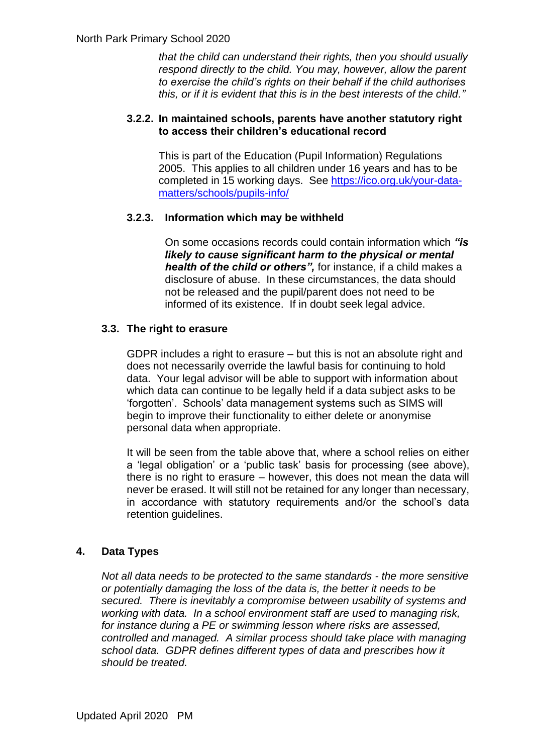*that the child can understand their rights, then you should usually respond directly to the child. You may, however, allow the parent to exercise the child's rights on their behalf if the child authorises this, or if it is evident that this is in the best interests of the child."*

#### **3.2.2. In maintained schools, parents have another statutory right to access their children's educational record**

This is part of the Education (Pupil Information) Regulations 2005. This applies to all children under 16 years and has to be completed in 15 working days. See [https://ico.org.uk/your-data](https://ico.org.uk/your-data-matters/schools/pupils-info/)[matters/schools/pupils-info/](https://ico.org.uk/your-data-matters/schools/pupils-info/) 

#### **3.2.3. Information which may be withheld**

On some occasions records could contain information which *"is likely to cause significant harm to the physical or mental health of the child or others",* for instance, if a child makes a disclosure of abuse. In these circumstances, the data should not be released and the pupil/parent does not need to be informed of its existence. If in doubt seek legal advice.

#### **3.3. The right to erasure**

GDPR includes a right to erasure – but this is not an absolute right and does not necessarily override the lawful basis for continuing to hold data. Your legal advisor will be able to support with information about which data can continue to be legally held if a data subject asks to be 'forgotten'. Schools' data management systems such as SIMS will begin to improve their functionality to either delete or anonymise personal data when appropriate.

It will be seen from the table above that, where a school relies on either a 'legal obligation' or a 'public task' basis for processing (see above), there is no right to erasure – however, this does not mean the data will never be erased. It will still not be retained for any longer than necessary, in accordance with statutory requirements and/or the school's data retention guidelines.

#### **4. Data Types**

*Not all data needs to be protected to the same standards - the more sensitive or potentially damaging the loss of the data is, the better it needs to be secured. There is inevitably a compromise between usability of systems and working with data. In a school environment staff are used to managing risk, for instance during a PE or swimming lesson where risks are assessed, controlled and managed. A similar process should take place with managing school data. GDPR defines different types of data and prescribes how it should be treated.*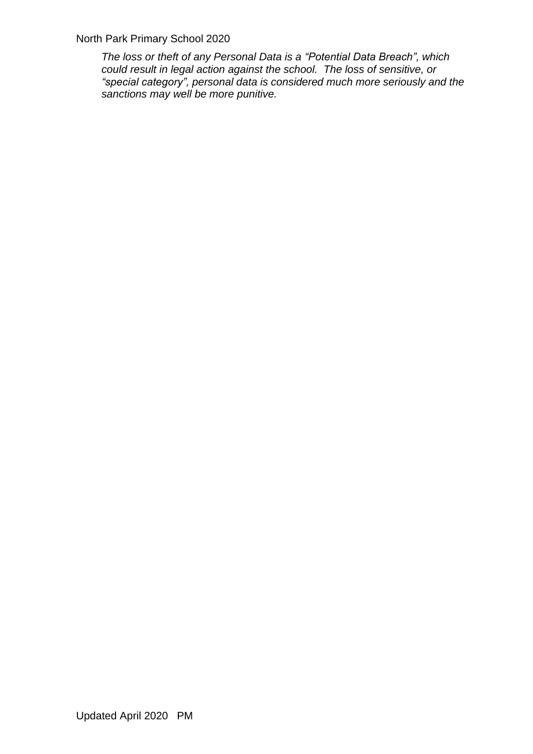*The loss or theft of any Personal Data is a "Potential Data Breach", which could result in legal action against the school. The loss of sensitive, or "special category", personal data is considered much more seriously and the sanctions may well be more punitive.*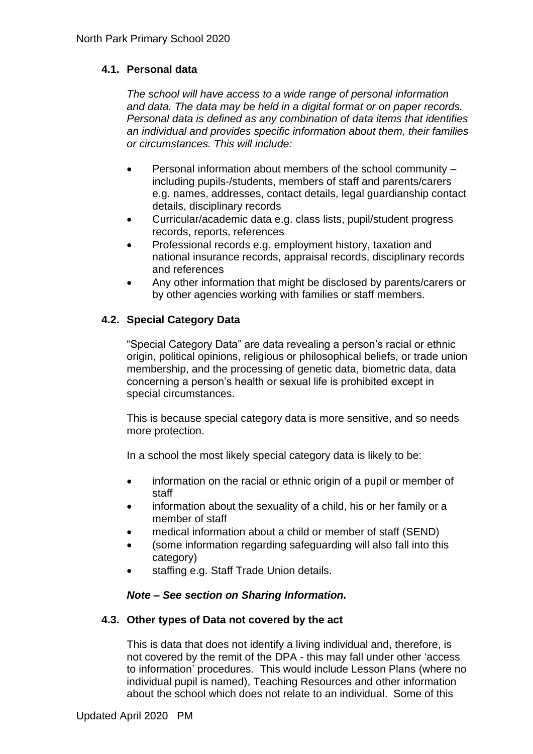#### **4.1. Personal data**

*The school will have access to a wide range of personal information and data. The data may be held in a digital format or on paper records. Personal data is defined as any combination of data items that identifies an individual and provides specific information about them, their families or circumstances. This will include:*

- Personal information about members of the school community including pupils-/students, members of staff and parents/carers e.g. names, addresses, contact details, legal guardianship contact details, disciplinary records
- Curricular/academic data e.g. class lists, pupil/student progress records, reports, references
- Professional records e.g. employment history, taxation and national insurance records, appraisal records, disciplinary records and references
- Any other information that might be disclosed by parents/carers or by other agencies working with families or staff members.

#### **4.2. Special Category Data**

"Special Category Data" are data revealing a person's racial or ethnic origin, political opinions, religious or philosophical beliefs, or trade union membership, and the processing of genetic data, biometric data, data concerning a person's health or sexual life is prohibited except in special circumstances.

This is because special category data is more sensitive, and so needs more protection.

In a school the most likely special category data is likely to be:

- information on the racial or ethnic origin of a pupil or member of staff
- information about the sexuality of a child, his or her family or a member of staff
- medical information about a child or member of staff (SEND)
- (some information regarding safeguarding will also fall into this category)
- staffing e.g. Staff Trade Union details.

#### *Note – See section on Sharing Information.*

#### **4.3. Other types of Data not covered by the act**

This is data that does not identify a living individual and, therefore, is not covered by the remit of the DPA - this may fall under other 'access to information' procedures. This would include Lesson Plans (where no individual pupil is named), Teaching Resources and other information about the school which does not relate to an individual. Some of this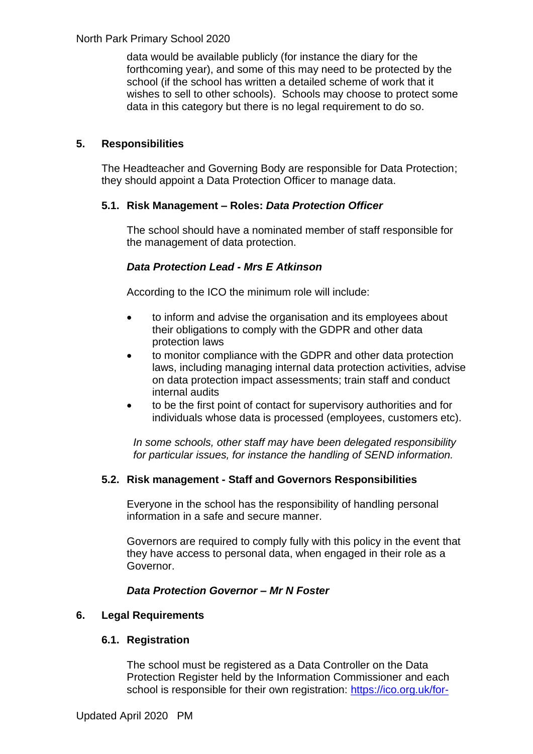data would be available publicly (for instance the diary for the forthcoming year), and some of this may need to be protected by the school (if the school has written a detailed scheme of work that it wishes to sell to other schools). Schools may choose to protect some data in this category but there is no legal requirement to do so.

#### **5. Responsibilities**

The Headteacher and Governing Body are responsible for Data Protection; they should appoint a Data Protection Officer to manage data.

#### **5.1. Risk Management – Roles:** *Data Protection Officer*

The school should have a nominated member of staff responsible for the management of data protection.

#### *Data Protection Lead - Mrs E Atkinson*

According to the ICO the minimum role will include:

- to inform and advise the organisation and its employees about their obligations to comply with the GDPR and other data protection laws
- to monitor compliance with the GDPR and other data protection laws, including managing internal data protection activities, advise on data protection impact assessments; train staff and conduct internal audits
- to be the first point of contact for supervisory authorities and for individuals whose data is processed (employees, customers etc).

*In some schools, other staff may have been delegated responsibility for particular issues, for instance the handling of SEND information.*

#### **5.2. Risk management - Staff and Governors Responsibilities**

Everyone in the school has the responsibility of handling personal information in a safe and secure manner.

Governors are required to comply fully with this policy in the event that they have access to personal data, when engaged in their role as a Governor.

#### *Data Protection Governor – Mr N Foster*

#### **6. Legal Requirements**

#### **6.1. Registration**

The school must be registered as a Data Controller on the Data Protection Register held by the Information Commissioner and each school is responsible for their own registration: https://ico.org.uk/for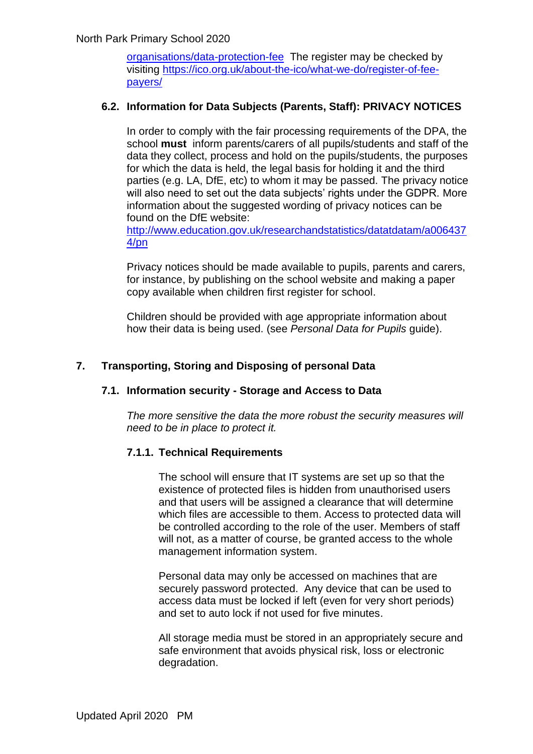organisations/data-protection-fee The register may be checked by visiting [https://ico.org.uk/about-the-ico/what-we-do/register-of-fee](https://ico.org.uk/about-the-ico/what-we-do/register-of-fee-payers/)[payers/](https://ico.org.uk/about-the-ico/what-we-do/register-of-fee-payers/)

#### **6.2. Information for Data Subjects (Parents, Staff): PRIVACY NOTICES**

In order to comply with the fair processing requirements of the DPA, the school **must** inform parents/carers of all pupils/students and staff of the data they collect, process and hold on the pupils/students, the purposes for which the data is held, the legal basis for holding it and the third parties (e.g. LA, DfE, etc) to whom it may be passed. The privacy notice will also need to set out the data subjects' rights under the GDPR. More information about the suggested wording of privacy notices can be found on the DfE website:

[http://www.education.gov.uk/researchandstatistics/datatdatam/a006437](http://www.education.gov.uk/researchandstatistics/datatdatam/a0064374/pn) [4/pn](http://www.education.gov.uk/researchandstatistics/datatdatam/a0064374/pn)

Privacy notices should be made available to pupils, parents and carers, for instance, by publishing on the school website and making a paper copy available when children first register for school.

Children should be provided with age appropriate information about how their data is being used. (see *Personal Data for Pupils* guide).

#### **7. Transporting, Storing and Disposing of personal Data**

#### **7.1. Information security - Storage and Access to Data**

*The more sensitive the data the more robust the security measures will need to be in place to protect it.*

#### **7.1.1. Technical Requirements**

The school will ensure that IT systems are set up so that the existence of protected files is hidden from unauthorised users and that users will be assigned a clearance that will determine which files are accessible to them. Access to protected data will be controlled according to the role of the user. Members of staff will not, as a matter of course, be granted access to the whole management information system.

Personal data may only be accessed on machines that are securely password protected. Any device that can be used to access data must be locked if left (even for very short periods) and set to auto lock if not used for five minutes.

All storage media must be stored in an appropriately secure and safe environment that avoids physical risk, loss or electronic degradation.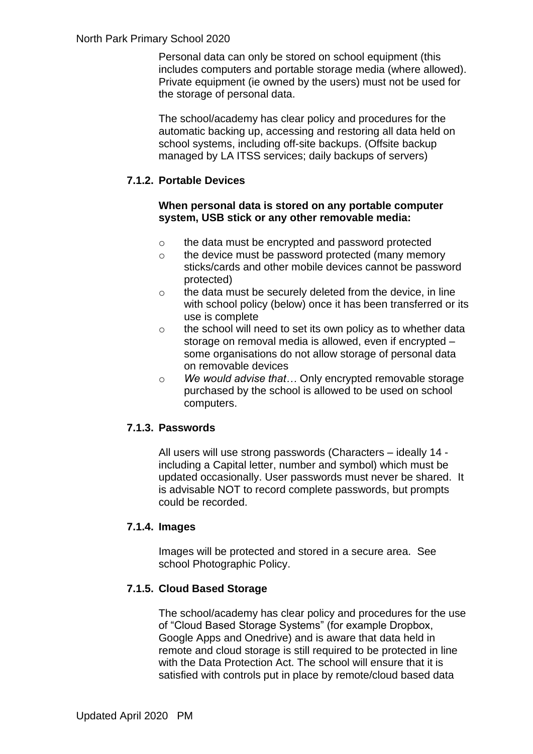Personal data can only be stored on school equipment (this includes computers and portable storage media (where allowed). Private equipment (ie owned by the users) must not be used for the storage of personal data.

The school/academy has clear policy and procedures for the automatic backing up, accessing and restoring all data held on school systems, including off-site backups. (Offsite backup managed by LA ITSS services; daily backups of servers)

#### **7.1.2. Portable Devices**

#### **When personal data is stored on any portable computer system, USB stick or any other removable media:**

- o the data must be encrypted and password protected
- o the device must be password protected (many memory sticks/cards and other mobile devices cannot be password protected)
- o the data must be securely deleted from the device, in line with school policy (below) once it has been transferred or its use is complete
- o the school will need to set its own policy as to whether data storage on removal media is allowed, even if encrypted – some organisations do not allow storage of personal data on removable devices
- o *We would advise that…* Only encrypted removable storage purchased by the school is allowed to be used on school computers.

#### **7.1.3. Passwords**

All users will use strong passwords (Characters – ideally 14 including a Capital letter, number and symbol) which must be updated occasionally. User passwords must never be shared. It is advisable NOT to record complete passwords, but prompts could be recorded.

#### **7.1.4. Images**

Images will be protected and stored in a secure area. See school Photographic Policy.

#### **7.1.5. Cloud Based Storage**

The school/academy has clear policy and procedures for the use of "Cloud Based Storage Systems" (for example Dropbox, Google Apps and Onedrive) and is aware that data held in remote and cloud storage is still required to be protected in line with the Data Protection Act. The school will ensure that it is satisfied with controls put in place by remote/cloud based data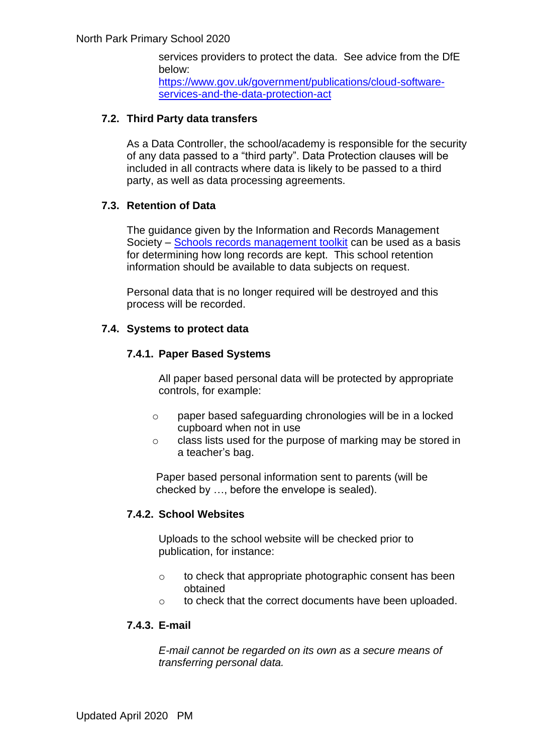services providers to protect the data. See advice from the DfE below: [https://www.gov.uk/government/publications/cloud-software](https://www.gov.uk/government/publications/cloud-software-services-and-the-data-protection-act)[services-and-the-data-protection-act](https://www.gov.uk/government/publications/cloud-software-services-and-the-data-protection-act)

#### **7.2. Third Party data transfers**

As a Data Controller, the school/academy is responsible for the security of any data passed to a "third party". Data Protection clauses will be included in all contracts where data is likely to be passed to a third party, as well as data processing agreements.

#### **7.3. Retention of Data**

The guidance given by the Information and Records Management Society – [Schools records management toolkit](https://irms.site-ym.com/page/SchoolsToolkit) can be used as a basis for determining how long records are kept. This school retention information should be available to data subjects on request.

Personal data that is no longer required will be destroyed and this process will be recorded.

#### **7.4. Systems to protect data**

#### **7.4.1. Paper Based Systems**

All paper based personal data will be protected by appropriate controls, for example:

- o paper based safeguarding chronologies will be in a locked cupboard when not in use
- o class lists used for the purpose of marking may be stored in a teacher's bag.

Paper based personal information sent to parents (will be checked by …, before the envelope is sealed).

#### **7.4.2. School Websites**

Uploads to the school website will be checked prior to publication, for instance:

- o to check that appropriate photographic consent has been obtained
- o to check that the correct documents have been uploaded.

#### **7.4.3. E-mail**

*E-mail cannot be regarded on its own as a secure means of transferring personal data.*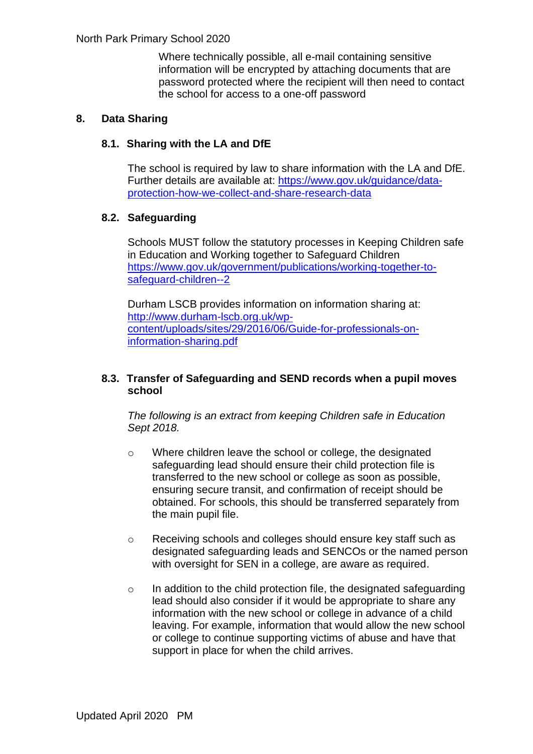Where technically possible, all e-mail containing sensitive information will be encrypted by attaching documents that are password protected where the recipient will then need to contact the school for access to a one-off password

#### **8. Data Sharing**

#### **8.1. Sharing with the LA and DfE**

The school is required by law to share information with the LA and DfE. Further details are available at: [https://www.gov.uk/guidance/data](https://www.gov.uk/guidance/data-protection-how-we-collect-and-share-research-data)[protection-how-we-collect-and-share-research-data](https://www.gov.uk/guidance/data-protection-how-we-collect-and-share-research-data)

#### **8.2. Safeguarding**

Schools MUST follow the statutory processes in Keeping Children safe in Education and Working together to Safeguard Children [https://www.gov.uk/government/publications/working-together-to](https://www.gov.uk/government/publications/working-together-to-safeguard-children--2)[safeguard-children--2](https://www.gov.uk/government/publications/working-together-to-safeguard-children--2)

Durham LSCB provides information on information sharing at: [http://www.durham-lscb.org.uk/wp](http://www.durham-lscb.org.uk/wp-content/uploads/sites/29/2016/06/Guide-for-professionals-on-information-sharing.pdf)[content/uploads/sites/29/2016/06/Guide-for-professionals-on](http://www.durham-lscb.org.uk/wp-content/uploads/sites/29/2016/06/Guide-for-professionals-on-information-sharing.pdf)[information-sharing.pdf](http://www.durham-lscb.org.uk/wp-content/uploads/sites/29/2016/06/Guide-for-professionals-on-information-sharing.pdf)

#### **8.3. Transfer of Safeguarding and SEND records when a pupil moves school**

*The following is an extract from keeping Children safe in Education Sept 2018.*

- o Where children leave the school or college, the designated safeguarding lead should ensure their child protection file is transferred to the new school or college as soon as possible, ensuring secure transit, and confirmation of receipt should be obtained. For schools, this should be transferred separately from the main pupil file.
- o Receiving schools and colleges should ensure key staff such as designated safeguarding leads and SENCOs or the named person with oversight for SEN in a college, are aware as required.
- o In addition to the child protection file, the designated safeguarding lead should also consider if it would be appropriate to share any information with the new school or college in advance of a child leaving. For example, information that would allow the new school or college to continue supporting victims of abuse and have that support in place for when the child arrives.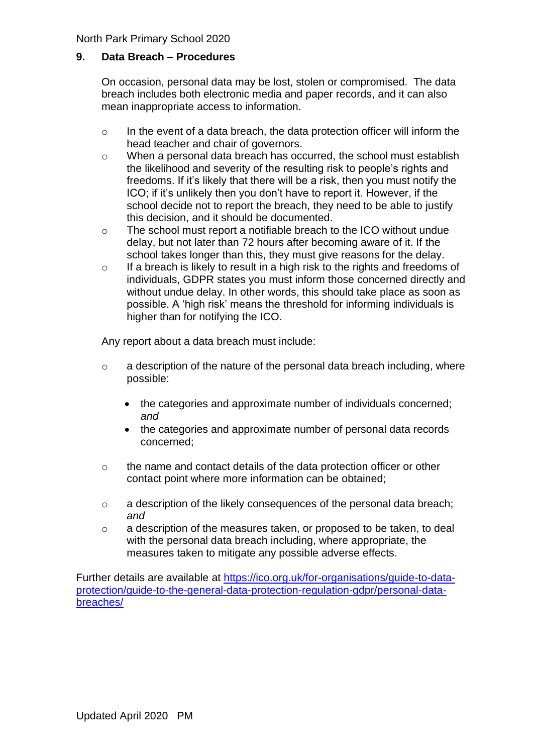#### **9. Data Breach – Procedures**

On occasion, personal data may be lost, stolen or compromised. The data breach includes both electronic media and paper records, and it can also mean inappropriate access to information.

- o In the event of a data breach, the data protection officer will inform the head teacher and chair of governors.
- o When a personal data breach has occurred, the school must establish the likelihood and severity of the resulting risk to people's rights and freedoms. If it's likely that there will be a risk, then you must notify the ICO; if it's unlikely then you don't have to report it. However, if the school decide not to report the breach, they need to be able to justify this decision, and it should be documented.
- o The school must report a notifiable breach to the ICO without undue delay, but not later than 72 hours after becoming aware of it. If the school takes longer than this, they must give reasons for the delay.
- o If a breach is likely to result in a high risk to the rights and freedoms of individuals, GDPR states you must inform those concerned directly and without undue delay. In other words, this should take place as soon as possible. A 'high risk' means the threshold for informing individuals is higher than for notifying the ICO.

Any report about a data breach must include:

- o a description of the nature of the personal data breach including, where possible:
	- the categories and approximate number of individuals concerned; *and*
	- the categories and approximate number of personal data records concerned;
- o the name and contact details of the data protection officer or other contact point where more information can be obtained;
- o a description of the likely consequences of the personal data breach; *and*
- o a description of the measures taken, or proposed to be taken, to deal with the personal data breach including, where appropriate, the measures taken to mitigate any possible adverse effects.

Further details are available at [https://ico.org.uk/for-organisations/guide-to-data](https://ico.org.uk/for-organisations/guide-to-data-protection/guide-to-the-general-data-protection-regulation-gdpr/personal-data-breaches/)[protection/guide-to-the-general-data-protection-regulation-gdpr/personal-data](https://ico.org.uk/for-organisations/guide-to-data-protection/guide-to-the-general-data-protection-regulation-gdpr/personal-data-breaches/)[breaches/](https://ico.org.uk/for-organisations/guide-to-data-protection/guide-to-the-general-data-protection-regulation-gdpr/personal-data-breaches/)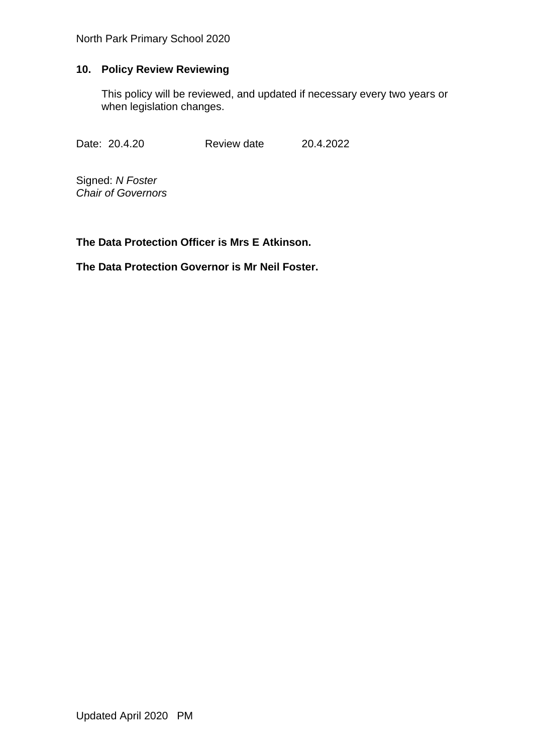#### **10. Policy Review Reviewing**

This policy will be reviewed, and updated if necessary every two years or when legislation changes.

Date: 20.4.20 Review date 20.4.2022

Signed: *N Foster Chair of Governors*

**The Data Protection Officer is Mrs E Atkinson.**

**The Data Protection Governor is Mr Neil Foster.**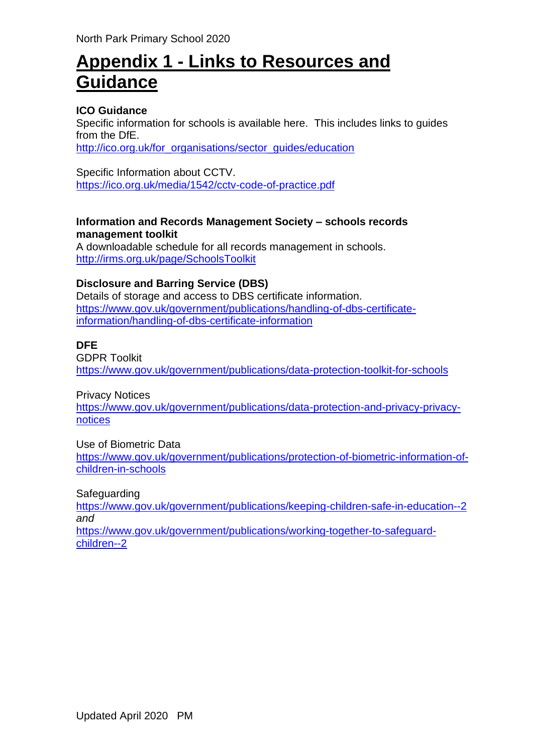## **Appendix 1 - Links to Resources and Guidance**

#### **ICO Guidance**

Specific information for schools is available here. This includes links to guides from the DfE.

[http://ico.org.uk/for\\_organisations/sector\\_guides/education](http://ico.org.uk/for_organisations/sector_guides/education)

Specific Information about CCTV. <https://ico.org.uk/media/1542/cctv-code-of-practice.pdf>

#### **Information and Records Management Society – schools records management toolkit**

A downloadable schedule for all records management in schools. <http://irms.org.uk/page/SchoolsToolkit>

#### **Disclosure and Barring Service (DBS)**

Details of storage and access to DBS certificate information. [https://www.gov.uk/government/publications/handling-of-dbs-certificate](https://www.gov.uk/government/publications/handling-of-dbs-certificate-information/handling-of-dbs-certificate-information)[information/handling-of-dbs-certificate-information](https://www.gov.uk/government/publications/handling-of-dbs-certificate-information/handling-of-dbs-certificate-information)

#### **DFE**

GDPR Toolkit <https://www.gov.uk/government/publications/data-protection-toolkit-for-schools>

Privacy Notices

[https://www.gov.uk/government/publications/data-protection-and-privacy-privacy](https://www.gov.uk/government/publications/data-protection-and-privacy-privacy-notices)[notices](https://www.gov.uk/government/publications/data-protection-and-privacy-privacy-notices)

Use of Biometric Data

[https://www.gov.uk/government/publications/protection-of-biometric-information-of](https://www.gov.uk/government/publications/protection-of-biometric-information-of-children-in-schools)[children-in-schools](https://www.gov.uk/government/publications/protection-of-biometric-information-of-children-in-schools)

Safeguarding

<https://www.gov.uk/government/publications/keeping-children-safe-in-education--2> *and* [https://www.gov.uk/government/publications/working-together-to-safeguard-](https://www.gov.uk/government/publications/working-together-to-safeguard-children--2)

[children--2](https://www.gov.uk/government/publications/working-together-to-safeguard-children--2)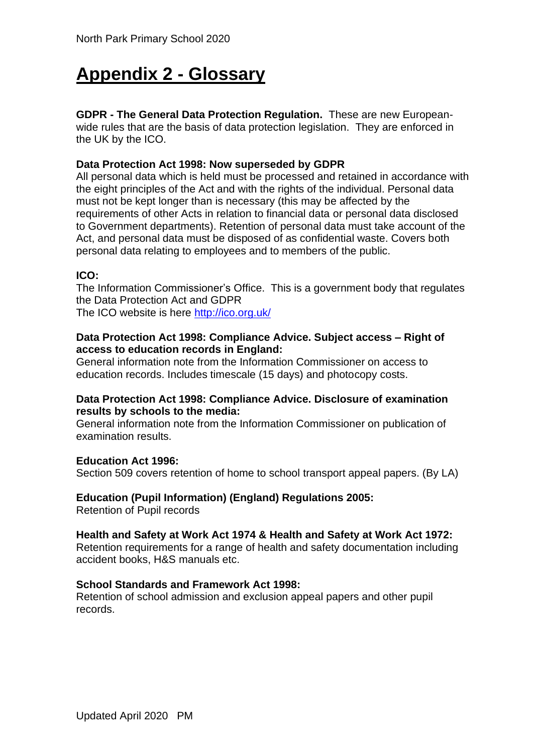# **Appendix 2 - Glossary**

**GDPR - The General Data Protection Regulation.** These are new Europeanwide rules that are the basis of data protection legislation. They are enforced in the UK by the ICO.

#### **Data Protection Act 1998: Now superseded by GDPR**

All personal data which is held must be processed and retained in accordance with the eight principles of the Act and with the rights of the individual. Personal data must not be kept longer than is necessary (this may be affected by the requirements of other Acts in relation to financial data or personal data disclosed to Government departments). Retention of personal data must take account of the Act, and personal data must be disposed of as confidential waste. Covers both personal data relating to employees and to members of the public.

#### **ICO:**

The Information Commissioner's Office. This is a government body that regulates the Data Protection Act and GDPR

The ICO website is here<http://ico.org.uk/>

#### **Data Protection Act 1998: Compliance Advice. Subject access – Right of access to education records in England:**

General information note from the Information Commissioner on access to education records. Includes timescale (15 days) and photocopy costs.

#### **Data Protection Act 1998: Compliance Advice. Disclosure of examination results by schools to the media:**

General information note from the Information Commissioner on publication of examination results.

#### **Education Act 1996:**

Section 509 covers retention of home to school transport appeal papers. (By LA)

#### **Education (Pupil Information) (England) Regulations 2005:**

Retention of Pupil records

#### **Health and Safety at Work Act 1974 & Health and Safety at Work Act 1972:**

Retention requirements for a range of health and safety documentation including accident books, H&S manuals etc.

#### **School Standards and Framework Act 1998:**

Retention of school admission and exclusion appeal papers and other pupil records.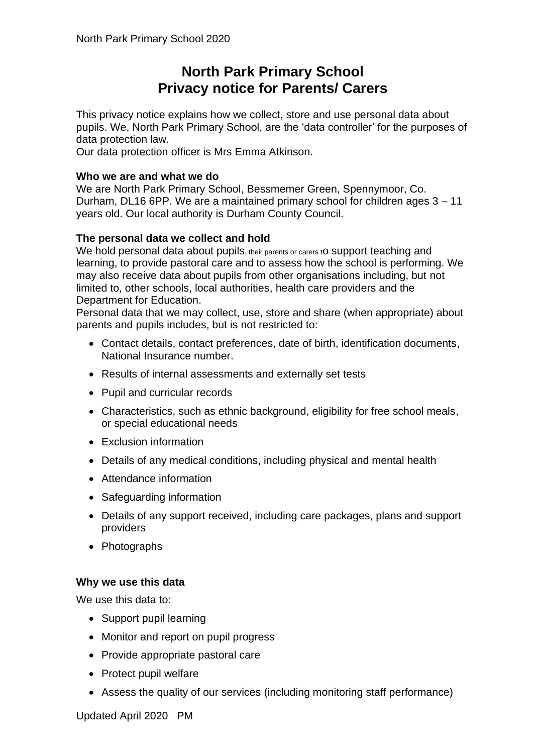### **North Park Primary School Privacy notice for Parents/ Carers**

This privacy notice explains how we collect, store and use personal data about pupils. We, North Park Primary School, are the 'data controller' for the purposes of data protection law.

Our data protection officer is Mrs Emma Atkinson.

#### **Who we are and what we do**

We are North Park Primary School, Bessmemer Green, Spennymoor, Co. Durham, DL16 6PP. We are a maintained primary school for children ages 3 – 11 years old. Our local authority is Durham County Council.

#### **The personal data we collect and hold**

We hold personal data about pupils, their parents or carers to support teaching and learning, to provide pastoral care and to assess how the school is performing. We may also receive data about pupils from other organisations including, but not limited to, other schools, local authorities, health care providers and the Department for Education.

Personal data that we may collect, use, store and share (when appropriate) about parents and pupils includes, but is not restricted to:

- Contact details, contact preferences, date of birth, identification documents, National Insurance number.
- Results of internal assessments and externally set tests
- Pupil and curricular records
- Characteristics, such as ethnic background, eligibility for free school meals, or special educational needs
- Exclusion information
- Details of any medical conditions, including physical and mental health
- Attendance information
- Safeguarding information
- Details of any support received, including care packages, plans and support providers
- Photographs

#### **Why we use this data**

We use this data to:

- Support pupil learning
- Monitor and report on pupil progress
- Provide appropriate pastoral care
- Protect pupil welfare
- Assess the quality of our services (including monitoring staff performance)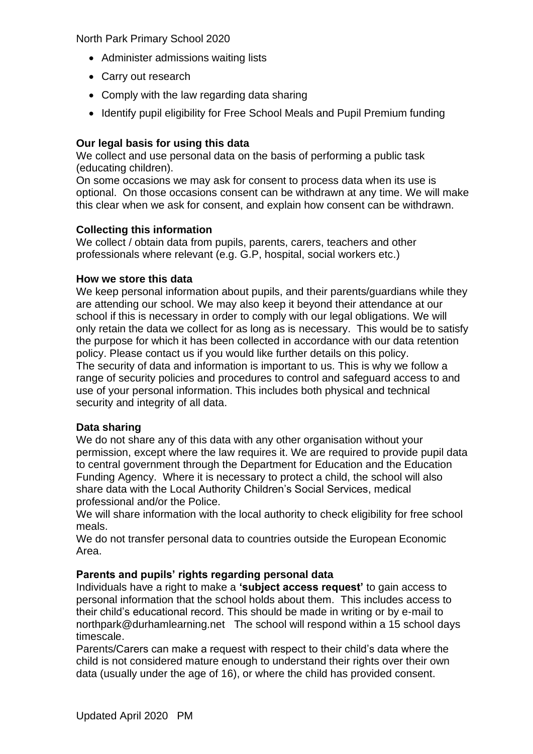- Administer admissions waiting lists
- Carry out research
- Comply with the law regarding data sharing
- Identify pupil eligibility for Free School Meals and Pupil Premium funding

#### **Our legal basis for using this data**

We collect and use personal data on the basis of performing a public task (educating children).

On some occasions we may ask for consent to process data when its use is optional. On those occasions consent can be withdrawn at any time. We will make this clear when we ask for consent, and explain how consent can be withdrawn.

#### **Collecting this information**

We collect / obtain data from pupils, parents, carers, teachers and other professionals where relevant (e.g. G.P, hospital, social workers etc.)

#### **How we store this data**

We keep personal information about pupils, and their parents/guardians while they are attending our school. We may also keep it beyond their attendance at our school if this is necessary in order to comply with our legal obligations. We will only retain the data we collect for as long as is necessary. This would be to satisfy the purpose for which it has been collected in accordance with our data retention policy. Please contact us if you would like further details on this policy. The security of data and information is important to us. This is why we follow a range of security policies and procedures to control and safeguard access to and use of your personal information. This includes both physical and technical security and integrity of all data.

#### **Data sharing**

We do not share any of this data with any other organisation without your permission, except where the law requires it. We are required to provide pupil data to central government through the Department for Education and the Education Funding Agency. Where it is necessary to protect a child, the school will also share data with the Local Authority Children's Social Services, medical professional and/or the Police.

We will share information with the local authority to check eligibility for free school meals.

We do not transfer personal data to countries outside the European Economic Area.

#### **Parents and pupils' rights regarding personal data**

Individuals have a right to make a **'subject access request'** to gain access to personal information that the school holds about them. This includes access to their child's educational record. This should be made in writing or by e-mail to northpark@durhamlearning.net The school will respond within a 15 school days timescale.

Parents/Carers can make a request with respect to their child's data where the child is not considered mature enough to understand their rights over their own data (usually under the age of 16), or where the child has provided consent.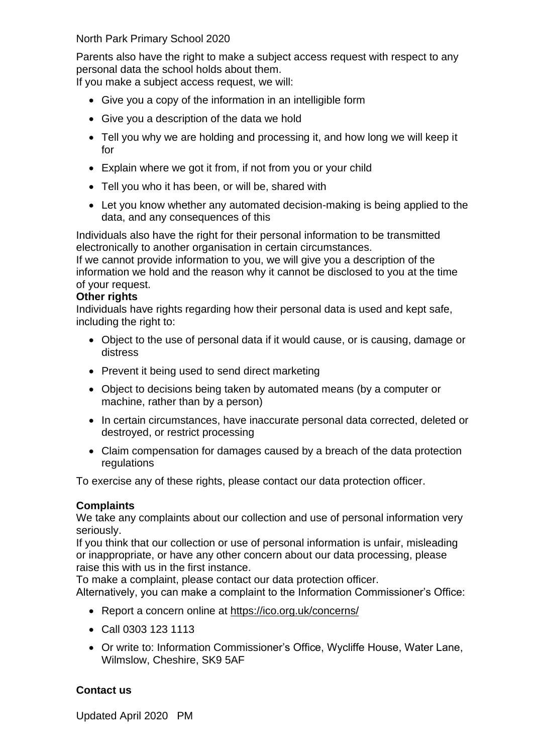Parents also have the right to make a subject access request with respect to any personal data the school holds about them.

If you make a subject access request, we will:

- Give you a copy of the information in an intelligible form
- Give you a description of the data we hold
- Tell you why we are holding and processing it, and how long we will keep it for
- Explain where we got it from, if not from you or your child
- Tell you who it has been, or will be, shared with
- Let you know whether any automated decision-making is being applied to the data, and any consequences of this

Individuals also have the right for their personal information to be transmitted electronically to another organisation in certain circumstances.

If we cannot provide information to you, we will give you a description of the information we hold and the reason why it cannot be disclosed to you at the time of your request.

#### **Other rights**

Individuals have rights regarding how their personal data is used and kept safe, including the right to:

- Object to the use of personal data if it would cause, or is causing, damage or distress
- Prevent it being used to send direct marketing
- Object to decisions being taken by automated means (by a computer or machine, rather than by a person)
- In certain circumstances, have inaccurate personal data corrected, deleted or destroyed, or restrict processing
- Claim compensation for damages caused by a breach of the data protection regulations

To exercise any of these rights, please contact our data protection officer.

#### **Complaints**

We take any complaints about our collection and use of personal information very seriously.

If you think that our collection or use of personal information is unfair, misleading or inappropriate, or have any other concern about our data processing, please raise this with us in the first instance.

To make a complaint, please contact our data protection officer.

Alternatively, you can make a complaint to the Information Commissioner's Office:

- Report a concern online at<https://ico.org.uk/concerns/>
- Call 0303 123 1113
- Or write to: Information Commissioner's Office, Wycliffe House, Water Lane, Wilmslow, Cheshire, SK9 5AF

#### **Contact us**

Updated April 2020 PM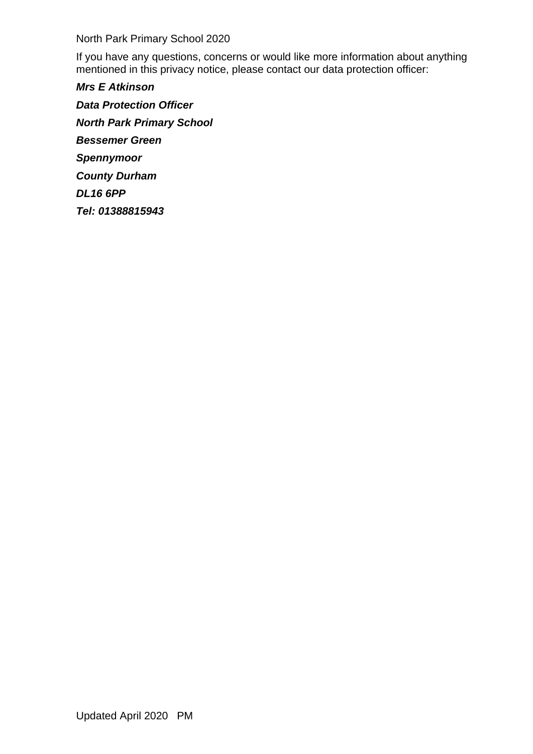If you have any questions, concerns or would like more information about anything mentioned in this privacy notice, please contact our data protection officer:

*Mrs E Atkinson Data Protection Officer North Park Primary School Bessemer Green Spennymoor County Durham DL16 6PP Tel: 01388815943*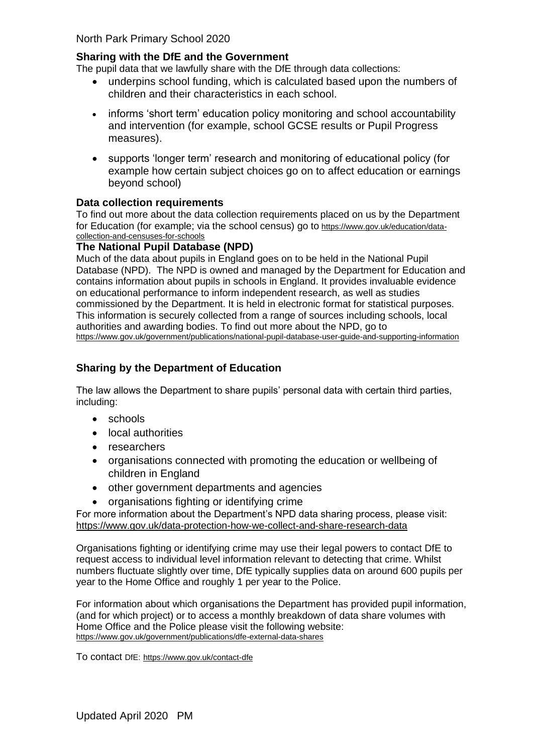#### **Sharing with the DfE and the Government**

The pupil data that we lawfully share with the DfE through data collections:

- underpins school funding, which is calculated based upon the numbers of children and their characteristics in each school.
- informs 'short term' education policy monitoring and school accountability and intervention (for example, school GCSE results or Pupil Progress measures).
- supports 'longer term' research and monitoring of educational policy (for example how certain subject choices go on to affect education or earnings beyond school)

#### **Data collection requirements**

To find out more about the data collection requirements placed on us by the Department for Education (for example; via the school census) go to [https://www.gov.uk/education/data](https://www.gov.uk/education/data-collection-and-censuses-for-schools)[collection-and-censuses-for-schools](https://www.gov.uk/education/data-collection-and-censuses-for-schools)

#### **The National Pupil Database (NPD)**

Much of the data about pupils in England goes on to be held in the National Pupil Database (NPD). The NPD is owned and managed by the Department for Education and contains information about pupils in schools in England. It provides invaluable evidence on educational performance to inform independent research, as well as studies commissioned by the Department. It is held in electronic format for statistical purposes. This information is securely collected from a range of sources including schools, local authorities and awarding bodies. To find out more about the NPD, go to <https://www.gov.uk/government/publications/national-pupil-database-user-guide-and-supporting-information>

#### **Sharing by the Department of Education**

The law allows the Department to share pupils' personal data with certain third parties, including:

- schools
- local authorities
- researchers
- organisations connected with promoting the education or wellbeing of children in England
- other government departments and agencies
- organisations fighting or identifying crime

For more information about the Department's NPD data sharing process, please visit: <https://www.gov.uk/data-protection-how-we-collect-and-share-research-data>

Organisations fighting or identifying crime may use their legal powers to contact DfE to request access to individual level information relevant to detecting that crime. Whilst numbers fluctuate slightly over time, DfE typically supplies data on around 600 pupils per year to the Home Office and roughly 1 per year to the Police.

For information about which organisations the Department has provided pupil information, (and for which project) or to access a monthly breakdown of data share volumes with Home Office and the Police please visit the following website: <https://www.gov.uk/government/publications/dfe-external-data-shares>

To contact DfE: <https://www.gov.uk/contact-dfe>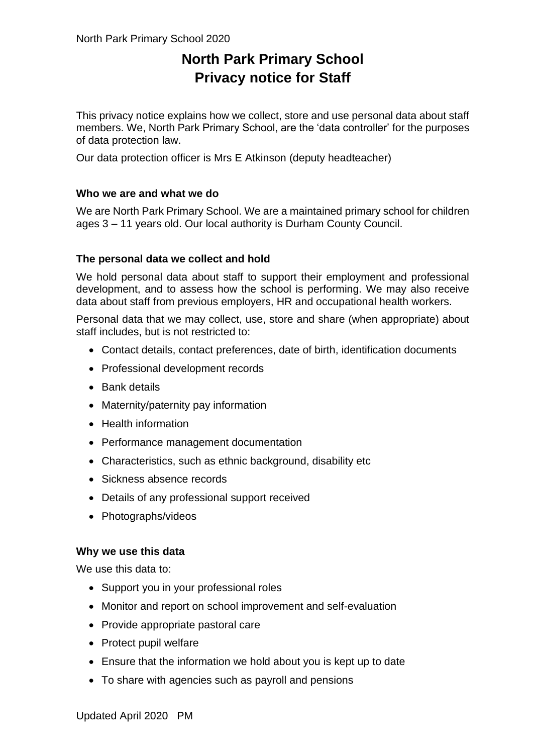## **North Park Primary School Privacy notice for Staff**

This privacy notice explains how we collect, store and use personal data about staff members. We, North Park Primary School, are the 'data controller' for the purposes of data protection law.

Our data protection officer is Mrs E Atkinson (deputy headteacher)

#### **Who we are and what we do**

We are North Park Primary School. We are a maintained primary school for children ages 3 – 11 years old. Our local authority is Durham County Council.

#### **The personal data we collect and hold**

We hold personal data about staff to support their employment and professional development, and to assess how the school is performing. We may also receive data about staff from previous employers, HR and occupational health workers.

Personal data that we may collect, use, store and share (when appropriate) about staff includes, but is not restricted to:

- Contact details, contact preferences, date of birth, identification documents
- Professional development records
- Bank details
- Maternity/paternity pay information
- Health information
- Performance management documentation
- Characteristics, such as ethnic background, disability etc
- Sickness absence records
- Details of any professional support received
- Photographs/videos

#### **Why we use this data**

We use this data to:

- Support you in your professional roles
- Monitor and report on school improvement and self-evaluation
- Provide appropriate pastoral care
- Protect pupil welfare
- Ensure that the information we hold about you is kept up to date
- To share with agencies such as payroll and pensions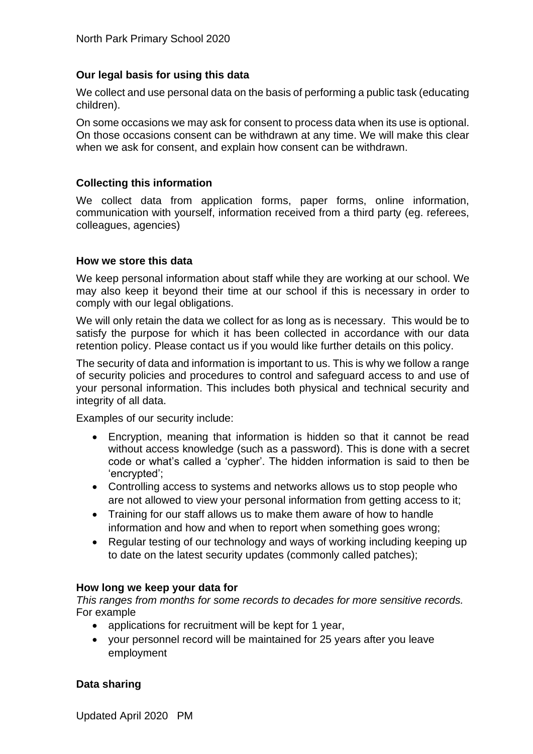#### **Our legal basis for using this data**

We collect and use personal data on the basis of performing a public task (educating children).

On some occasions we may ask for consent to process data when its use is optional. On those occasions consent can be withdrawn at any time. We will make this clear when we ask for consent, and explain how consent can be withdrawn.

#### **Collecting this information**

We collect data from application forms, paper forms, online information, communication with yourself, information received from a third party (eg. referees, colleagues, agencies)

#### **How we store this data**

We keep personal information about staff while they are working at our school. We may also keep it beyond their time at our school if this is necessary in order to comply with our legal obligations.

We will only retain the data we collect for as long as is necessary. This would be to satisfy the purpose for which it has been collected in accordance with our data retention policy. Please contact us if you would like further details on this policy.

The security of data and information is important to us. This is why we follow a range of security policies and procedures to control and safeguard access to and use of your personal information. This includes both physical and technical security and integrity of all data.

Examples of our security include:

- Encryption, meaning that information is hidden so that it cannot be read without access knowledge (such as a password). This is done with a secret code or what's called a 'cypher'. The hidden information is said to then be 'encrypted';
- Controlling access to systems and networks allows us to stop people who are not allowed to view your personal information from getting access to it;
- Training for our staff allows us to make them aware of how to handle information and how and when to report when something goes wrong;
- Regular testing of our technology and ways of working including keeping up to date on the latest security updates (commonly called patches);

#### **How long we keep your data for**

*This ranges from months for some records to decades for more sensitive records.*  For example

- applications for recruitment will be kept for 1 year,
- your personnel record will be maintained for 25 years after you leave employment

#### **Data sharing**

Updated April 2020 PM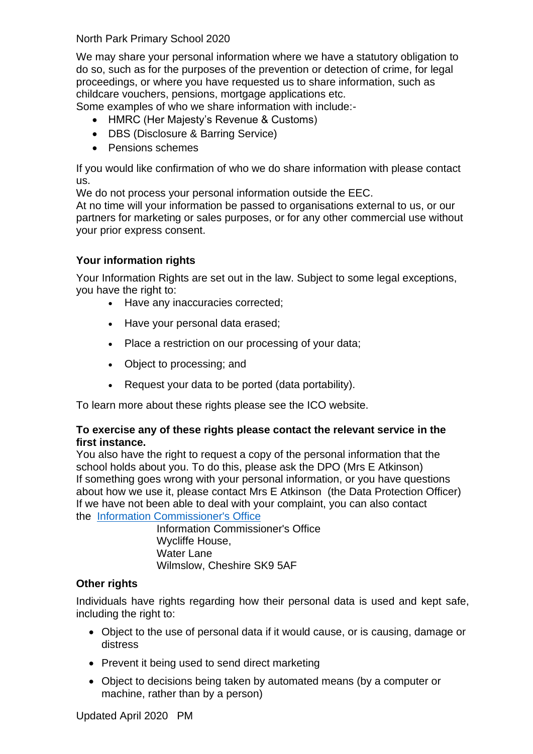We may share your personal information where we have a statutory obligation to do so, such as for the purposes of the prevention or detection of crime, for legal proceedings, or where you have requested us to share information, such as childcare vouchers, pensions, mortgage applications etc.

Some examples of who we share information with include:-

- HMRC (Her Majesty's Revenue & Customs)
- DBS (Disclosure & Barring Service)
- Pensions schemes

If you would like confirmation of who we do share information with please contact us.

We do not process your personal information outside the EEC.

At no time will your information be passed to organisations external to us, or our partners for marketing or sales purposes, or for any other commercial use without your prior express consent.

#### **Your information rights**

Your Information Rights are set out in the law. Subject to some legal exceptions, you have the right to:

- Have any inaccuracies corrected;
- Have your personal data erased;
- Place a restriction on our processing of your data;
- Object to processing; and
- Request your data to be ported (data portability).

To learn more about these rights please see the ICO website.

#### **To exercise any of these rights please contact the relevant service in the first instance.**

You also have the right to request a copy of the personal information that the school holds about you. To do this, please ask the DPO (Mrs E Atkinson) If something goes wrong with your personal information, or you have questions about how we use it, please contact Mrs E Atkinson (the Data Protection Officer) If we have not been able to deal with your complaint, you can also contact the [Information Commissioner's Office](https://ico.org.uk/)

> Information Commissioner's Office Wycliffe House, Water Lane Wilmslow, Cheshire SK9 5AF

#### **Other rights**

Individuals have rights regarding how their personal data is used and kept safe, including the right to:

- Object to the use of personal data if it would cause, or is causing, damage or distress
- Prevent it being used to send direct marketing
- Object to decisions being taken by automated means (by a computer or machine, rather than by a person)